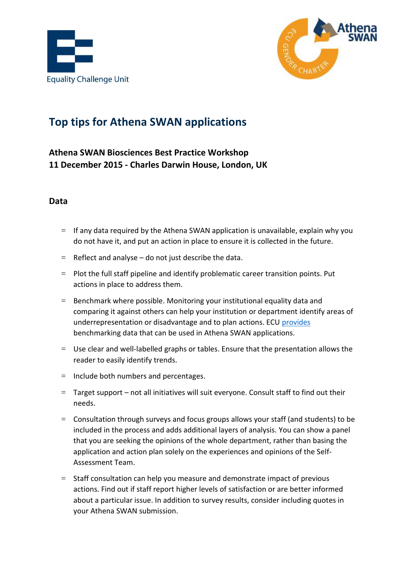



# **Top tips for Athena SWAN applications**

## **Athena SWAN Biosciences Best Practice Workshop 11 December 2015 - Charles Darwin House, London, UK**

#### **Data**

- $=$  If any data required by the Athena SWAN application is unavailable, explain why you do not have it, and put an action in place to ensure it is collected in the future.
- $=$  Reflect and analyse do not just describe the data.
- = Plot the full staff pipeline and identify problematic career transition points. Put actions in place to address them.
- = Benchmark where possible. Monitoring your institutional equality data and comparing it against others can help your institution or department identify areas of underrepresentation or disadvantage and to plan actions. ECU [provides](http://www.ecu.ac.uk/equality-charters/athena-swan/athena-swan-resources/data/) benchmarking data that can be used in Athena SWAN applications.
- $=$  Use clear and well-labelled graphs or tables. Ensure that the presentation allows the reader to easily identify trends.
- $=$  Include both numbers and percentages.
- = Target support not all initiatives will suit everyone. Consult staff to find out their needs.
- = Consultation through surveys and focus groups allows your staff (and students) to be included in the process and adds additional layers of analysis. You can show a panel that you are seeking the opinions of the whole department, rather than basing the application and action plan solely on the experiences and opinions of the Self-Assessment Team.
- = Staff consultation can help you measure and demonstrate impact of previous actions. Find out if staff report higher levels of satisfaction or are better informed about a particular issue. In addition to survey results, consider including quotes in your Athena SWAN submission.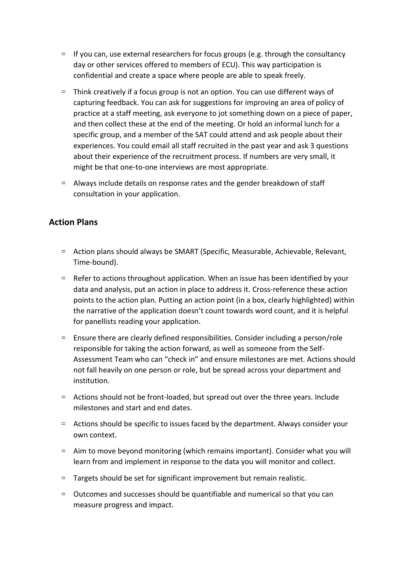- $=$  If you can, use external researchers for focus groups (e.g. through the consultancy day or other services offered to members of ECU). This way participation is confidential and create a space where people are able to speak freely.
- $=$  Think creatively if a focus group is not an option. You can use different ways of capturing feedback. You can ask for suggestions for improving an area of policy of practice at a staff meeting, ask everyone to jot something down on a piece of paper, and then collect these at the end of the meeting. Or hold an informal lunch for a specific group, and a member of the SAT could attend and ask people about their experiences. You could email all staff recruited in the past year and ask 3 questions about their experience of the recruitment process. If numbers are very small, it might be that one-to-one interviews are most appropriate.
- $=$  Always include details on response rates and the gender breakdown of staff consultation in your application.

### **Action Plans**

- = Action plans should always be SMART (Specific, Measurable, Achievable, Relevant, Time-bound).
- = Refer to actions throughout application. When an issue has been identified by your data and analysis, put an action in place to address it. Cross-reference these action points to the action plan. Putting an action point (in a box, clearly highlighted) within the narrative of the application doesn't count towards word count, and it is helpful for panellists reading your application.
- $=$  Ensure there are clearly defined responsibilities. Consider including a person/role responsible for taking the action forward, as well as someone from the Self-Assessment Team who can "check in" and ensure milestones are met. Actions should not fall heavily on one person or role, but be spread across your department and institution.
- $=$  Actions should not be front-loaded, but spread out over the three years. Include milestones and start and end dates.
- = Actions should be specific to issues faced by the department. Always consider your own context.
- $=$  Aim to move beyond monitoring (which remains important). Consider what you will learn from and implement in response to the data you will monitor and collect.
- $=$  Targets should be set for significant improvement but remain realistic.
- = Outcomes and successes should be quantifiable and numerical so that you can measure progress and impact.